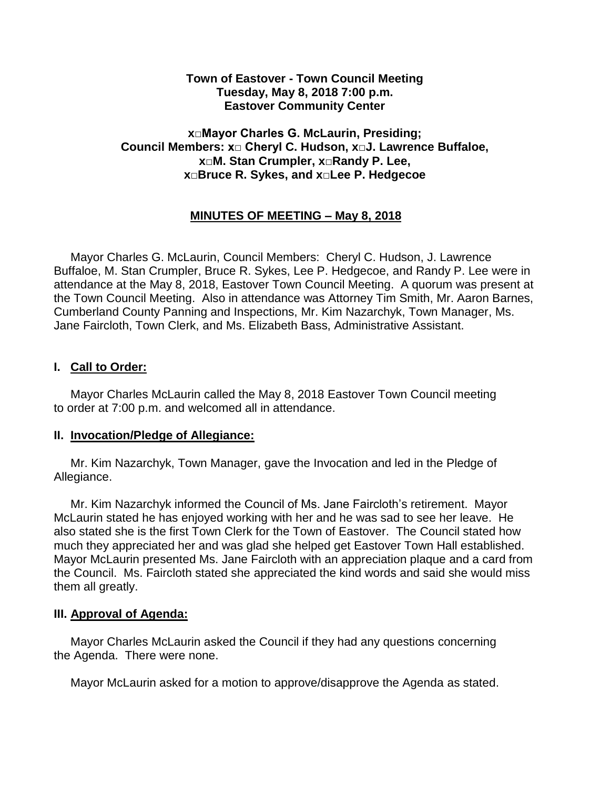#### **Town of Eastover - Town Council Meeting Tuesday, May 8, 2018 7:00 p.m. Eastover Community Center**

### **x□Mayor Charles G. McLaurin, Presiding; Council Members: x□ Cheryl C. Hudson, x□J. Lawrence Buffaloe, x□M. Stan Crumpler, x□Randy P. Lee, x□Bruce R. Sykes, and x□Lee P. Hedgecoe**

# **MINUTES OF MEETING – May 8, 2018**

 Mayor Charles G. McLaurin, Council Members: Cheryl C. Hudson, J. Lawrence Buffaloe, M. Stan Crumpler, Bruce R. Sykes, Lee P. Hedgecoe, and Randy P. Lee were in attendance at the May 8, 2018, Eastover Town Council Meeting. A quorum was present at the Town Council Meeting. Also in attendance was Attorney Tim Smith, Mr. Aaron Barnes, Cumberland County Panning and Inspections, Mr. Kim Nazarchyk, Town Manager, Ms. Jane Faircloth, Town Clerk, and Ms. Elizabeth Bass, Administrative Assistant.

### **I. Call to Order:**

 Mayor Charles McLaurin called the May 8, 2018 Eastover Town Council meeting to order at 7:00 p.m. and welcomed all in attendance.

#### **II. Invocation/Pledge of Allegiance:**

 Mr. Kim Nazarchyk, Town Manager, gave the Invocation and led in the Pledge of Allegiance.

 Mr. Kim Nazarchyk informed the Council of Ms. Jane Faircloth's retirement. Mayor McLaurin stated he has enjoyed working with her and he was sad to see her leave. He also stated she is the first Town Clerk for the Town of Eastover. The Council stated how much they appreciated her and was glad she helped get Eastover Town Hall established. Mayor McLaurin presented Ms. Jane Faircloth with an appreciation plaque and a card from the Council. Ms. Faircloth stated she appreciated the kind words and said she would miss them all greatly.

#### **III. Approval of Agenda:**

 Mayor Charles McLaurin asked the Council if they had any questions concerning the Agenda. There were none.

Mayor McLaurin asked for a motion to approve/disapprove the Agenda as stated.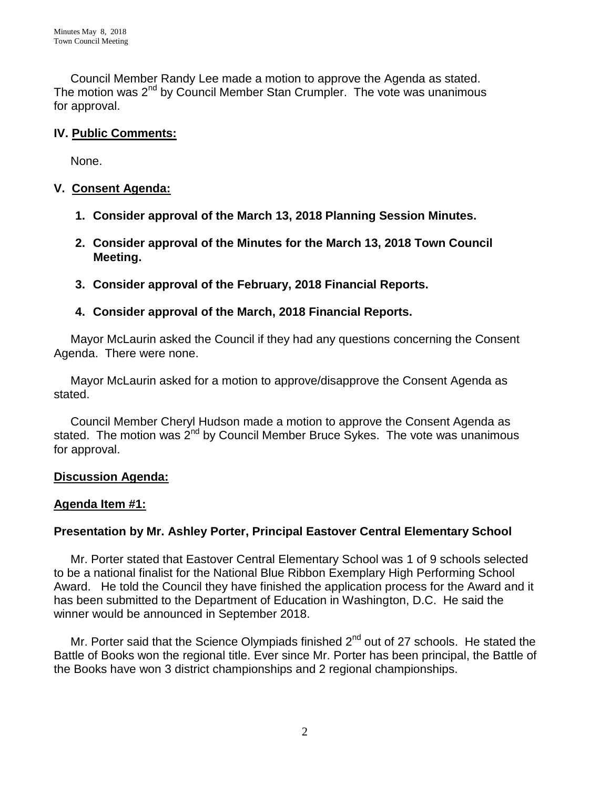Council Member Randy Lee made a motion to approve the Agenda as stated. The motion was  $2<sup>nd</sup>$  by Council Member Stan Crumpler. The vote was unanimous for approval.

## **IV. Public Comments:**

None.

## **V. Consent Agenda:**

- **1. Consider approval of the March 13, 2018 Planning Session Minutes.**
- **2. Consider approval of the Minutes for the March 13, 2018 Town Council Meeting.**
- **3. Consider approval of the February, 2018 Financial Reports.**

### **4. Consider approval of the March, 2018 Financial Reports.**

 Mayor McLaurin asked the Council if they had any questions concerning the Consent Agenda. There were none.

 Mayor McLaurin asked for a motion to approve/disapprove the Consent Agenda as stated.

 Council Member Cheryl Hudson made a motion to approve the Consent Agenda as stated. The motion was  $2^{nd}$  by Council Member Bruce Sykes. The vote was unanimous for approval.

### **Discussion Agenda:**

### **Agenda Item #1:**

# **Presentation by Mr. Ashley Porter, Principal Eastover Central Elementary School**

 Mr. Porter stated that Eastover Central Elementary School was 1 of 9 schools selected to be a national finalist for the National Blue Ribbon Exemplary High Performing School Award. He told the Council they have finished the application process for the Award and it has been submitted to the Department of Education in Washington, D.C. He said the winner would be announced in September 2018.

Mr. Porter said that the Science Olympiads finished 2<sup>nd</sup> out of 27 schools. He stated the Battle of Books won the regional title. Ever since Mr. Porter has been principal, the Battle of the Books have won 3 district championships and 2 regional championships.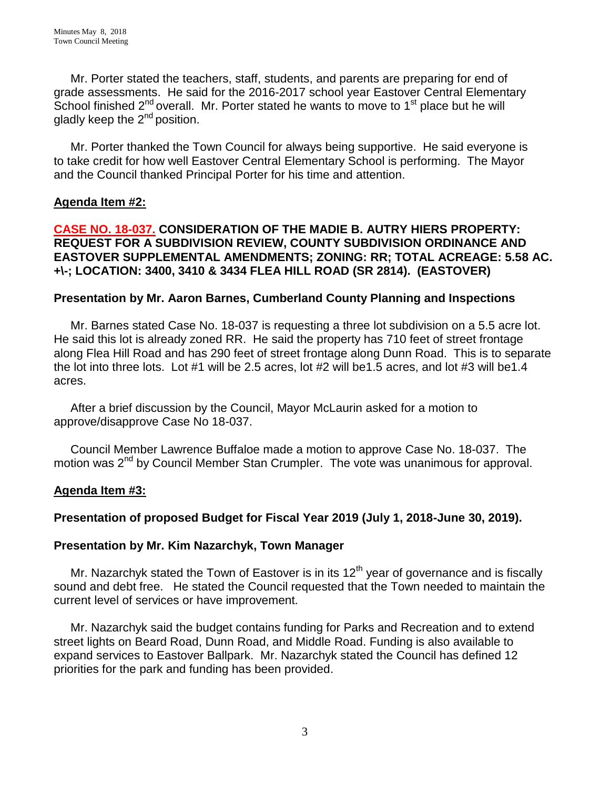Mr. Porter stated the teachers, staff, students, and parents are preparing for end of grade assessments. He said for the 2016-2017 school year Eastover Central Elementary School finished  $2^{nd}$  overall. Mr. Porter stated he wants to move to 1<sup>st</sup> place but he will gladly keep the 2<sup>nd</sup> position.

 Mr. Porter thanked the Town Council for always being supportive. He said everyone is to take credit for how well Eastover Central Elementary School is performing. The Mayor and the Council thanked Principal Porter for his time and attention.

#### **Agenda Item #2:**

**CASE NO. 18-037. CONSIDERATION OF THE MADIE B. AUTRY HIERS PROPERTY: REQUEST FOR A SUBDIVISION REVIEW, COUNTY SUBDIVISION ORDINANCE AND EASTOVER SUPPLEMENTAL AMENDMENTS; ZONING: RR; TOTAL ACREAGE: 5.58 AC. +\-; LOCATION: 3400, 3410 & 3434 FLEA HILL ROAD (SR 2814). (EASTOVER)** 

#### **Presentation by Mr. Aaron Barnes, Cumberland County Planning and Inspections**

Mr. Barnes stated Case No. 18-037 is requesting a three lot subdivision on a 5.5 acre lot. He said this lot is already zoned RR. He said the property has 710 feet of street frontage along Flea Hill Road and has 290 feet of street frontage along Dunn Road. This is to separate the lot into three lots. Lot #1 will be 2.5 acres, lot #2 will be1.5 acres, and lot #3 will be1.4 acres.

 After a brief discussion by the Council, Mayor McLaurin asked for a motion to approve/disapprove Case No 18-037.

 Council Member Lawrence Buffaloe made a motion to approve Case No. 18-037. The motion was 2<sup>nd</sup> by Council Member Stan Crumpler. The vote was unanimous for approval.

### **Agenda Item #3:**

### **Presentation of proposed Budget for Fiscal Year 2019 (July 1, 2018-June 30, 2019).**

#### **Presentation by Mr. Kim Nazarchyk, Town Manager**

Mr. Nazarchyk stated the Town of Eastover is in its  $12<sup>th</sup>$  year of governance and is fiscally sound and debt free. He stated the Council requested that the Town needed to maintain the current level of services or have improvement.

 Mr. Nazarchyk said the budget contains funding for Parks and Recreation and to extend street lights on Beard Road, Dunn Road, and Middle Road. Funding is also available to expand services to Eastover Ballpark. Mr. Nazarchyk stated the Council has defined 12 priorities for the park and funding has been provided.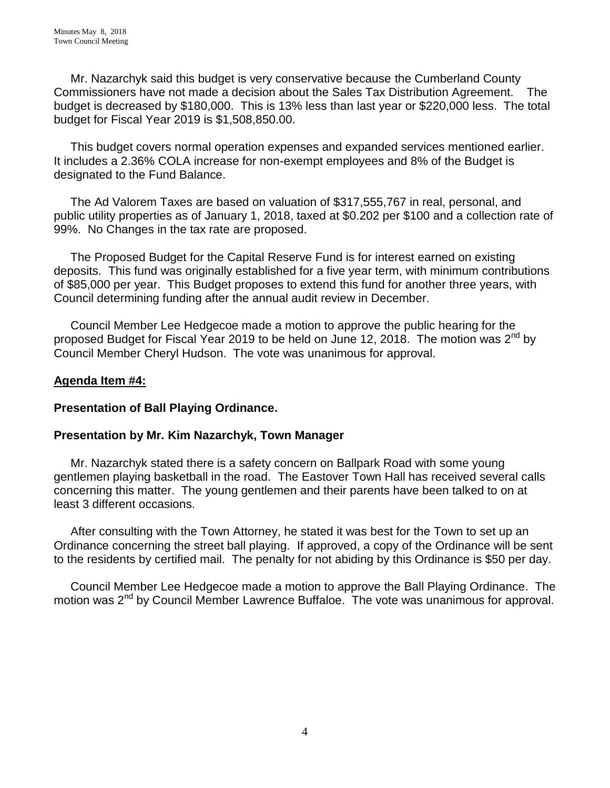Mr. Nazarchyk said this budget is very conservative because the Cumberland County Commissioners have not made a decision about the Sales Tax Distribution Agreement. The budget is decreased by \$180,000. This is 13% less than last year or \$220,000 less. The total budget for Fiscal Year 2019 is \$1,508,850.00.

 This budget covers normal operation expenses and expanded services mentioned earlier. It includes a 2.36% COLA increase for non-exempt employees and 8% of the Budget is designated to the Fund Balance.

 The Ad Valorem Taxes are based on valuation of \$317,555,767 in real, personal, and public utility properties as of January 1, 2018, taxed at \$0.202 per \$100 and a collection rate of 99%. No Changes in the tax rate are proposed.

 The Proposed Budget for the Capital Reserve Fund is for interest earned on existing deposits. This fund was originally established for a five year term, with minimum contributions of \$85,000 per year. This Budget proposes to extend this fund for another three years, with Council determining funding after the annual audit review in December.

 Council Member Lee Hedgecoe made a motion to approve the public hearing for the proposed Budget for Fiscal Year 2019 to be held on June 12, 2018. The motion was  $2^{nd}$  by Council Member Cheryl Hudson. The vote was unanimous for approval.

### **Agenda Item #4:**

### **Presentation of Ball Playing Ordinance.**

### **Presentation by Mr. Kim Nazarchyk, Town Manager**

 Mr. Nazarchyk stated there is a safety concern on Ballpark Road with some young gentlemen playing basketball in the road. The Eastover Town Hall has received several calls concerning this matter. The young gentlemen and their parents have been talked to on at least 3 different occasions.

 After consulting with the Town Attorney, he stated it was best for the Town to set up an Ordinance concerning the street ball playing. If approved, a copy of the Ordinance will be sent to the residents by certified mail. The penalty for not abiding by this Ordinance is \$50 per day.

 Council Member Lee Hedgecoe made a motion to approve the Ball Playing Ordinance. The motion was 2<sup>nd</sup> by Council Member Lawrence Buffaloe. The vote was unanimous for approval.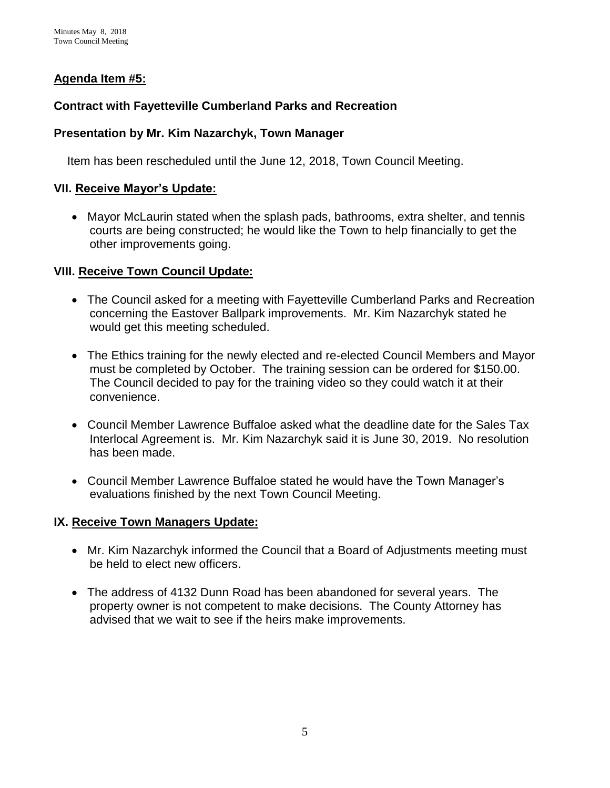# **Agenda Item #5:**

### **Contract with Fayetteville Cumberland Parks and Recreation**

### **Presentation by Mr. Kim Nazarchyk, Town Manager**

Item has been rescheduled until the June 12, 2018, Town Council Meeting.

### **VII. Receive Mayor's Update:**

 Mayor McLaurin stated when the splash pads, bathrooms, extra shelter, and tennis courts are being constructed; he would like the Town to help financially to get the other improvements going.

### **VIII. Receive Town Council Update:**

- The Council asked for a meeting with Fayetteville Cumberland Parks and Recreation concerning the Eastover Ballpark improvements. Mr. Kim Nazarchyk stated he would get this meeting scheduled.
- The Ethics training for the newly elected and re-elected Council Members and Mayor must be completed by October. The training session can be ordered for \$150.00. The Council decided to pay for the training video so they could watch it at their convenience.
- Council Member Lawrence Buffaloe asked what the deadline date for the Sales Tax Interlocal Agreement is. Mr. Kim Nazarchyk said it is June 30, 2019. No resolution has been made.
- Council Member Lawrence Buffaloe stated he would have the Town Manager's evaluations finished by the next Town Council Meeting.

# **IX. Receive Town Managers Update:**

- Mr. Kim Nazarchyk informed the Council that a Board of Adjustments meeting must be held to elect new officers.
- The address of 4132 Dunn Road has been abandoned for several years. The property owner is not competent to make decisions. The County Attorney has advised that we wait to see if the heirs make improvements.